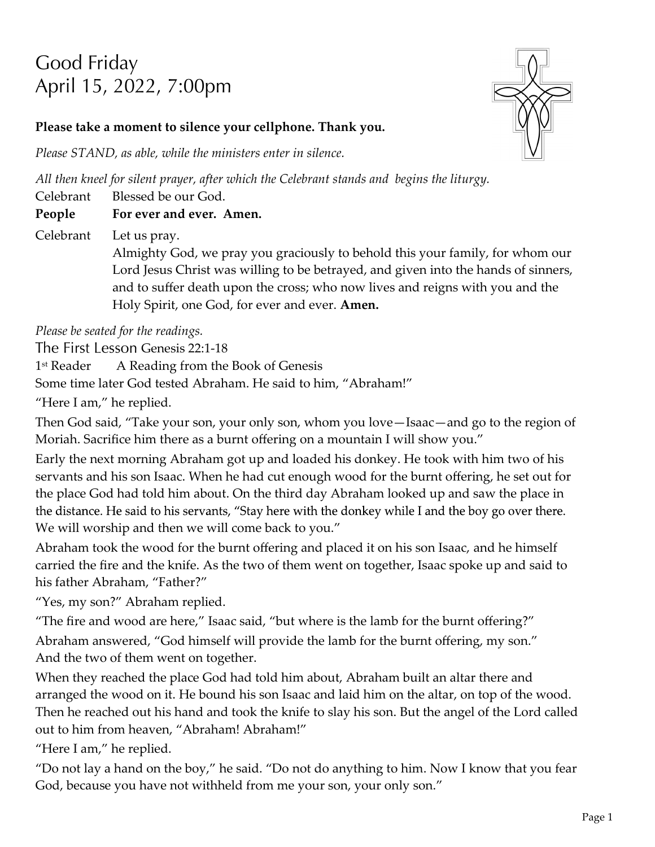# Good Friday April 15, 2022, 7:00pm



#### **Please take a moment to silence your cellphone. Thank you.**

*Please STAND, as able, while the ministers enter in silence.*

*All then kneel for silent prayer, after which the Celebrant stands and begins the liturgy.*

Celebrant Blessed be our God.

#### **People For ever and ever. Amen.**

Celebrant Let us pray.

Almighty God, we pray you graciously to behold this your family, for whom our Lord Jesus Christ was willing to be betrayed, and given into the hands of sinners, and to suffer death upon the cross; who now lives and reigns with you and the Holy Spirit, one God, for ever and ever. **Amen.**

*Please be seated for the readings.*

The First Lesson Genesis 22:1-18

1<sup>st</sup> Reader A Reading from the Book of Genesis

Some time later God tested Abraham. He said to him, "Abraham!"

"Here I am," he replied.

Then God said, "Take your son, your only son, whom you love—Isaac—and go to the region of Moriah. Sacrifice him there as a burnt offering on a mountain I will show you."

Early the next morning Abraham got up and loaded his donkey. He took with him two of his servants and his son Isaac. When he had cut enough wood for the burnt offering, he set out for the place God had told him about. On the third day Abraham looked up and saw the place in the distance. He said to his servants, "Stay here with the donkey while I and the boy go over there. We will worship and then we will come back to you."

Abraham took the wood for the burnt offering and placed it on his son Isaac, and he himself carried the fire and the knife. As the two of them went on together, Isaac spoke up and said to his father Abraham, "Father?"

"Yes, my son?" Abraham replied.

"The fire and wood are here," Isaac said, "but where is the lamb for the burnt offering?" Abraham answered, "God himself will provide the lamb for the burnt offering, my son." And the two of them went on together.

When they reached the place God had told him about, Abraham built an altar there and arranged the wood on it. He bound his son Isaac and laid him on the altar, on top of the wood. Then he reached out his hand and took the knife to slay his son. But the angel of the Lord called out to him from heaven, "Abraham! Abraham!"

"Here I am," he replied.

"Do not lay a hand on the boy," he said. "Do not do anything to him. Now I know that you fear God, because you have not withheld from me your son, your only son."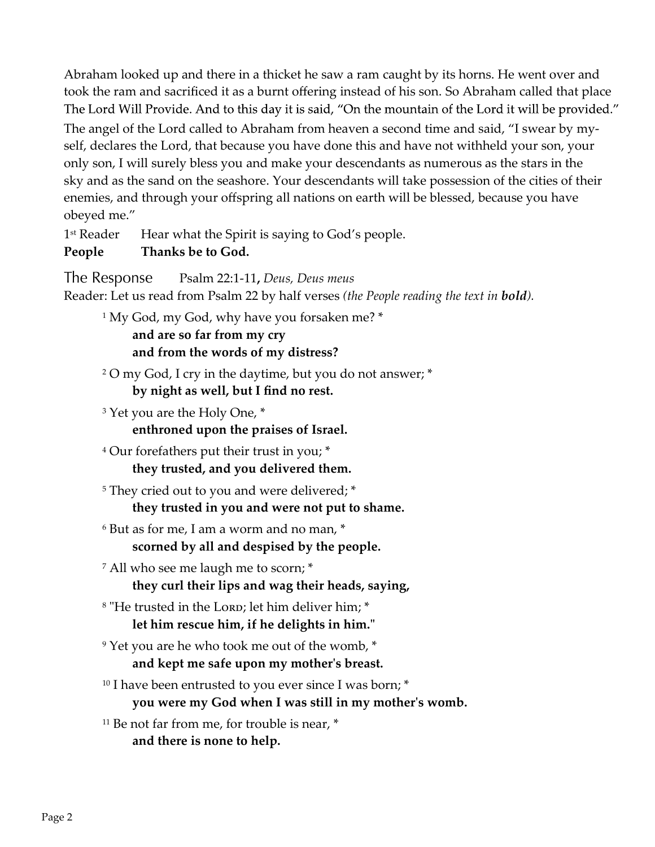Abraham looked up and there in a thicket he saw a ram caught by its horns. He went over and took the ram and sacrificed it as a burnt offering instead of his son. So Abraham called that place ".The Lord Will Provide. And to this day it is said, "On the mountain of the Lord it will be provided. The angel of the Lord called to Abraham from heaven a second time and said, "I swear by myself, declares the Lord, that because you have done this and have not withheld your son, your only son, I will surely bless you and make your descendants as numerous as the stars in the sky and as the sand on the seashore. Your descendants will take possession of the cities of their enemies, and through your offspring all nations on earth will be blessed, because you have obeyed me."

1<sup>st</sup> Reader Hear what the Spirit is saying to God's people.

# **People Thanks be to God.**

The Response Psalm 22:1-11**,** *Deus, Deus meus*  Reader: Let us read from Psalm 22 by half verses *(the People reading the text in bold).* <sup>1</sup> My God, my God, why have you forsaken me? \*

> **and are so far from my cry and from the words of my distress?**

<sup>2</sup> O my God, I cry in the daytime, but you do not answer; \* **by night as well, but I find no rest.**

<sup>3</sup> Yet you are the Holy One, \* **enthroned upon the praises of Israel.**

<sup>4</sup> Our forefathers put their trust in you; \* **they trusted, and you delivered them.**

<sup>5</sup> They cried out to you and were delivered; \* **they trusted in you and were not put to shame.**

- <sup>6</sup> But as for me, I am a worm and no man, \* **scorned by all and despised by the people.**
- <sup>7</sup> All who see me laugh me to scorn; \* **they curl their lips and wag their heads, saying,**
- <sup>8</sup> "He trusted in the Lorp; let him deliver him; \* **let him rescue him, if he delights in him."**
- <sup>9</sup> Yet you are he who took me out of the womb,  $*$ **and kept me safe upon my mother's breast.**
- <sup>10</sup> I have been entrusted to you ever since I was born;  $*$

**you were my God when I was still in my mother's womb.**

 $11$  Be not far from me, for trouble is near,  $*$ **and there is none to help.**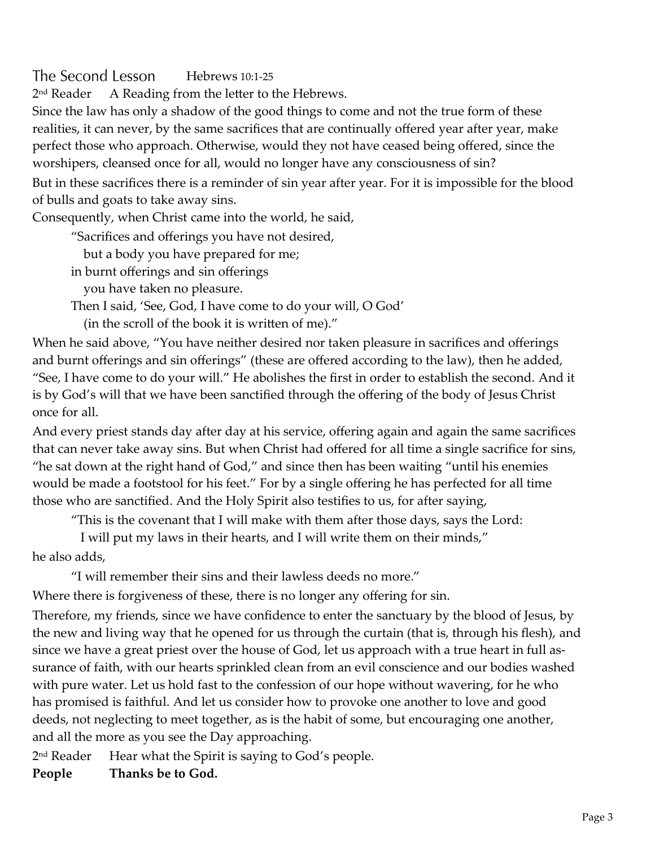#### The Second Lesson Hebrews 10:1‑25

2<sup>nd</sup> Reader A Reading from the letter to the Hebrews.

Since the law has only a shadow of the good things to come and not the true form of these realities, it can never, by the same sacrifices that are continually offered year after year, make perfect those who approach. Otherwise, would they not have ceased being offered, since the worshipers, cleansed once for all, would no longer have any consciousness of sin? But in these sacrifices there is a reminder of sin year after year. For it is impossible for the blood

of bulls and goats to take away sins.

Consequently, when Christ came into the world, he said,

"Sacrifices and offerings you have not desired,

but a body you have prepared for me;

in burnt offerings and sin offerings

you have taken no pleasure.

Then I said, 'See, God, I have come to do your will, O God'

(in the scroll of the book it is written of me)."

When he said above, "You have neither desired nor taken pleasure in sacrifices and offerings and burnt offerings and sin offerings" (these are offered according to the law), then he added, "See, I have come to do your will." He abolishes the first in order to establish the second. And it is by God's will that we have been sanctified through the offering of the body of Jesus Christ once for all.

And every priest stands day after day at his service, offering again and again the same sacrifices that can never take away sins. But when Christ had offered for all time a single sacrifice for sins, "he sat down at the right hand of God," and since then has been waiting "until his enemies would be made a footstool for his feet." For by a single offering he has perfected for all time those who are sanctified. And the Holy Spirit also testifies to us, for after saying,

"This is the covenant that I will make with them after those days, says the Lord:

 I will put my laws in their hearts, and I will write them on their minds," he also adds,

"I will remember their sins and their lawless deeds no more."

Where there is forgiveness of these, there is no longer any offering for sin.

Therefore, my friends, since we have confidence to enter the sanctuary by the blood of Jesus, by the new and living way that he opened for us through the curtain (that is, through his flesh), and since we have a great priest over the house of God, let us approach with a true heart in full assurance of faith, with our hearts sprinkled clean from an evil conscience and our bodies washed with pure water. Let us hold fast to the confession of our hope without wavering, for he who has promised is faithful. And let us consider how to provoke one another to love and good deeds, not neglecting to meet together, as is the habit of some, but encouraging one another, and all the more as you see the Day approaching.

2<sup>nd</sup> Reader Hear what the Spirit is saying to God's people.

**People Thanks be to God.**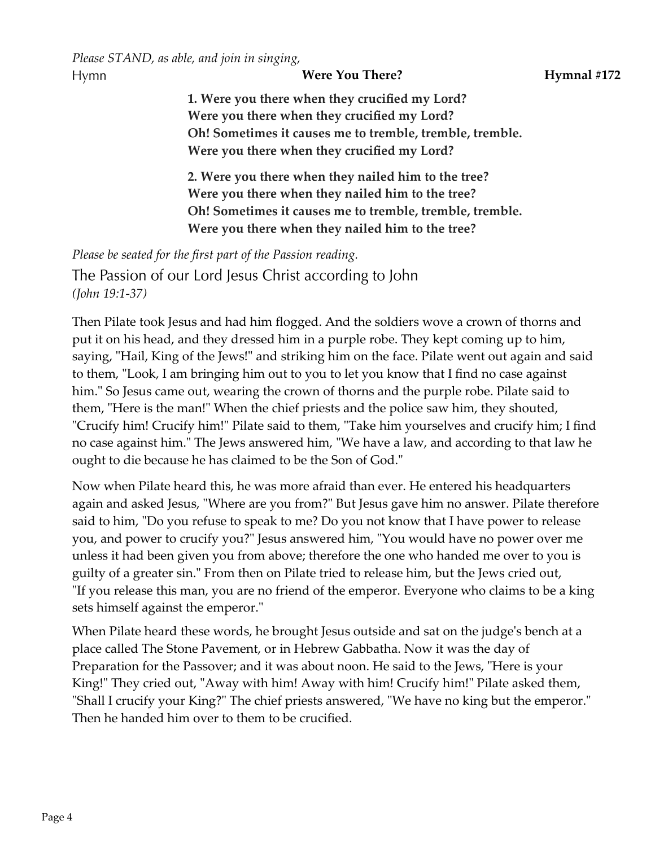*Please STAND, as able, and join in singing,* Hymn

**Were You There? Hymnal #172** 

**1. Were you there when they crucified my Lord? Were you there when they crucified my Lord? Oh! Sometimes it causes me to tremble, tremble, tremble. Were you there when they crucified my Lord?**

**2. Were you there when they nailed him to the tree? Were you there when they nailed him to the tree? Oh! Sometimes it causes me to tremble, tremble, tremble. Were you there when they nailed him to the tree?**

*Please be seated for the first part of the Passion reading.*

The Passion of our Lord Jesus Christ according to John *(John 19:1-37)*

Then Pilate took Jesus and had him flogged. And the soldiers wove a crown of thorns and put it on his head, and they dressed him in a purple robe. They kept coming up to him, saying, "Hail, King of the Jews!" and striking him on the face. Pilate went out again and said to them, "Look, I am bringing him out to you to let you know that I find no case against him." So Jesus came out, wearing the crown of thorns and the purple robe. Pilate said to them, "Here is the man!" When the chief priests and the police saw him, they shouted, "Crucify him! Crucify him!" Pilate said to them, "Take him yourselves and crucify him; I find no case against him." The Jews answered him, "We have a law, and according to that law he ought to die because he has claimed to be the Son of God."

Now when Pilate heard this, he was more afraid than ever. He entered his headquarters again and asked Jesus, "Where are you from?" But Jesus gave him no answer. Pilate therefore said to him, "Do you refuse to speak to me? Do you not know that I have power to release you, and power to crucify you?" Jesus answered him, "You would have no power over me unless it had been given you from above; therefore the one who handed me over to you is guilty of a greater sin." From then on Pilate tried to release him, but the Jews cried out, "If you release this man, you are no friend of the emperor. Everyone who claims to be a king sets himself against the emperor."

When Pilate heard these words, he brought Jesus outside and sat on the judge's bench at a place called The Stone Pavement, or in Hebrew Gabbatha. Now it was the day of Preparation for the Passover; and it was about noon. He said to the Jews, "Here is your King!" They cried out, "Away with him! Away with him! Crucify him!" Pilate asked them, "Shall I crucify your King?" The chief priests answered, "We have no king but the emperor." Then he handed him over to them to be crucified.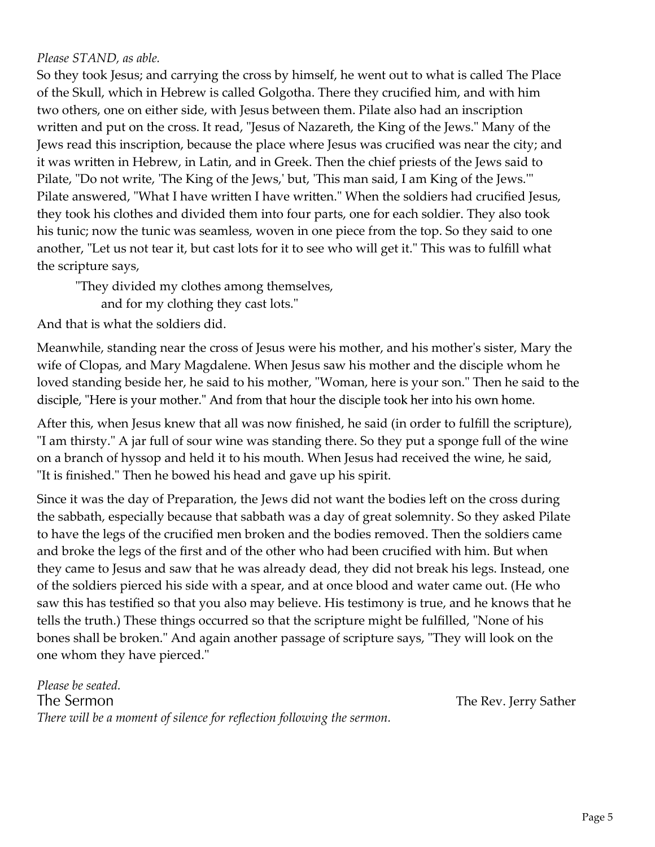#### *Please STAND, as able.*

So they took Jesus; and carrying the cross by himself, he went out to what is called The Place of the Skull, which in Hebrew is called Golgotha. There they crucified him, and with him two others, one on either side, with Jesus between them. Pilate also had an inscription written and put on the cross. It read, "Jesus of Nazareth, the King of the Jews." Many of the Jews read this inscription, because the place where Jesus was crucified was near the city; and it was written in Hebrew, in Latin, and in Greek. Then the chief priests of the Jews said to Pilate, "Do not write, 'The King of the Jews,' but, 'This man said, I am King of the Jews.'" Pilate answered, "What I have written I have written." When the soldiers had crucified Jesus, they took his clothes and divided them into four parts, one for each soldier. They also took his tunic; now the tunic was seamless, woven in one piece from the top. So they said to one another, "Let us not tear it, but cast lots for it to see who will get it." This was to fulfill what the scripture says,

"They divided my clothes among themselves,

and for my clothing they cast lots."

And that is what the soldiers did.

Meanwhile, standing near the cross of Jesus were his mother, and his mother's sister, Mary the wife of Clopas, and Mary Magdalene. When Jesus saw his mother and the disciple whom he loved standing beside her, he said to his mother, "Woman, here is your son." Then he said to the disciple, "Here is your mother." And from that hour the disciple took her into his own home.

After this, when Jesus knew that all was now finished, he said (in order to fulfill the scripture), "I am thirsty." A jar full of sour wine was standing there. So they put a sponge full of the wine on a branch of hyssop and held it to his mouth. When Jesus had received the wine, he said, "It is finished." Then he bowed his head and gave up his spirit.

Since it was the day of Preparation, the Jews did not want the bodies left on the cross during the sabbath, especially because that sabbath was a day of great solemnity. So they asked Pilate to have the legs of the crucified men broken and the bodies removed. Then the soldiers came and broke the legs of the first and of the other who had been crucified with him. But when they came to Jesus and saw that he was already dead, they did not break his legs. Instead, one of the soldiers pierced his side with a spear, and at once blood and water came out. (He who saw this has testified so that you also may believe. His testimony is true, and he knows that he tells the truth.) These things occurred so that the scripture might be fulfilled, "None of his bones shall be broken." And again another passage of scripture says, "They will look on the one whom they have pierced."

*Please be seated.* The Sermon *There will be a moment of silence for reflection following the sermon.*

The Rev. Jerry Sather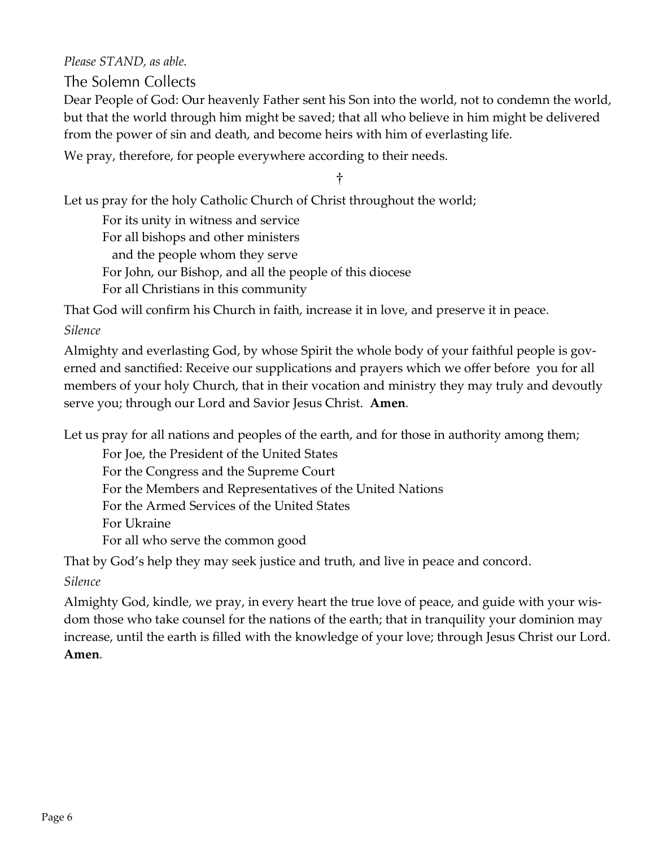*Please STAND, as able.* 

The Solemn Collects

Dear People of God: Our heavenly Father sent his Son into the world, not to condemn the world, but that the world through him might be saved; that all who believe in him might be delivered from the power of sin and death, and become heirs with him of everlasting life.

We pray, therefore, for people everywhere according to their needs.

†

Let us pray for the holy Catholic Church of Christ throughout the world;

For its unity in witness and service

For all bishops and other ministers

and the people whom they serve

For John, our Bishop, and all the people of this diocese

For all Christians in this community

That God will confirm his Church in faith, increase it in love, and preserve it in peace.

#### *Silence*

Almighty and everlasting God, by whose Spirit the whole body of your faithful people is governed and sanctified: Receive our supplications and prayers which we offer before you for all members of your holy Church, that in their vocation and ministry they may truly and devoutly serve you; through our Lord and Savior Jesus Christ. **Amen***.*

Let us pray for all nations and peoples of the earth, and for those in authority among them;

For Joe, the President of the United States For the Congress and the Supreme Court For the Members and Representatives of the United Nations For the Armed Services of the United States For Ukraine For all who serve the common good

That by God's help they may seek justice and truth, and live in peace and concord.

*Silence*

Almighty God, kindle, we pray, in every heart the true love of peace, and guide with your wis‑ dom those who take counsel for the nations of the earth; that in tranquility your dominion may increase, until the earth is filled with the knowledge of your love; through Jesus Christ our Lord. **Amen***.*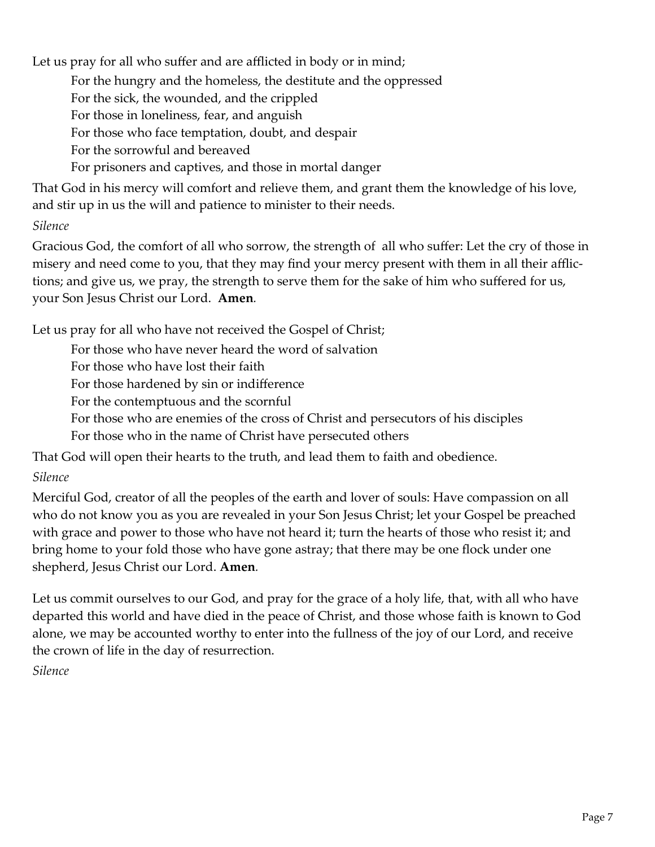Let us pray for all who suffer and are afflicted in body or in mind;

For the hungry and the homeless, the destitute and the oppressed

For the sick, the wounded, and the crippled

For those in loneliness, fear, and anguish

For those who face temptation, doubt, and despair

For the sorrowful and bereaved

For prisoners and captives, and those in mortal danger

That God in his mercy will comfort and relieve them, and grant them the knowledge of his love, and stir up in us the will and patience to minister to their needs.

### *Silence*

Gracious God, the comfort of all who sorrow, the strength of all who suffer: Let the cry of those in misery and need come to you, that they may find your mercy present with them in all their afflictions; and give us, we pray, the strength to serve them for the sake of him who suffered for us, your Son Jesus Christ our Lord. **Amen***.*

Let us pray for all who have not received the Gospel of Christ;

For those who have never heard the word of salvation

For those who have lost their faith

For those hardened by sin or indifference

For the contemptuous and the scornful

For those who are enemies of the cross of Christ and persecutors of his disciples

For those who in the name of Christ have persecuted others

That God will open their hearts to the truth, and lead them to faith and obedience.

# *Silence*

Merciful God, creator of all the peoples of the earth and lover of souls: Have compassion on all who do not know you as you are revealed in your Son Jesus Christ; let your Gospel be preached with grace and power to those who have not heard it; turn the hearts of those who resist it; and bring home to your fold those who have gone astray; that there may be one flock under one shepherd, Jesus Christ our Lord. **Amen***.*

Let us commit ourselves to our God, and pray for the grace of a holy life, that, with all who have departed this world and have died in the peace of Christ, and those whose faith is known to God alone, we may be accounted worthy to enter into the fullness of the joy of our Lord, and receive the crown of life in the day of resurrection.

*Silence*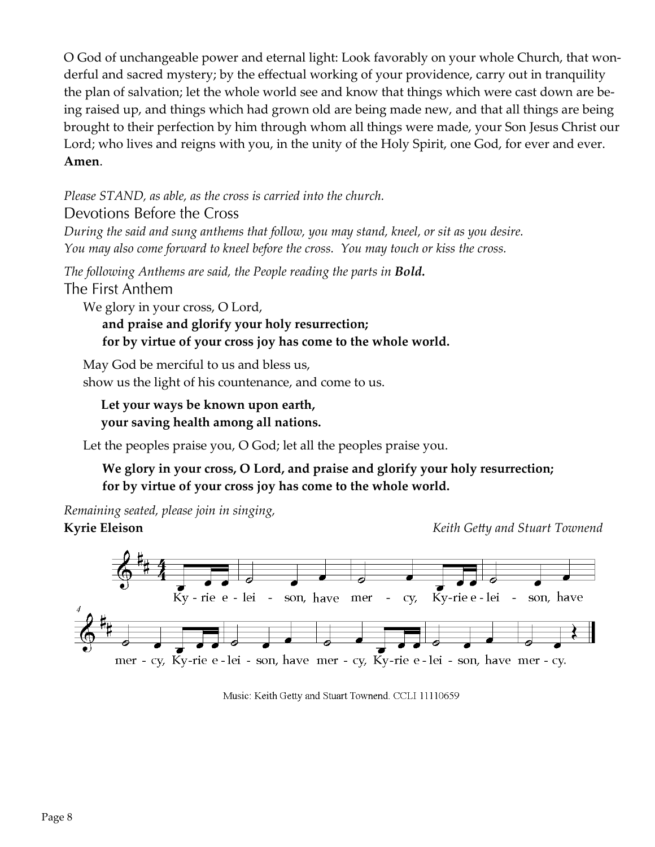O God of unchangeable power and eternal light: Look favorably on your whole Church, that wonderful and sacred mystery; by the effectual working of your providence, carry out in tranquility the plan of salvation; let the whole world see and know that things which were cast down are be‑ ing raised up, and things which had grown old are being made new, and that all things are being brought to their perfection by him through whom all things were made, your Son Jesus Christ our Lord; who lives and reigns with you, in the unity of the Holy Spirit, one God, for ever and ever. **Amen**.

*Please STAND, as able, as the cross is carried into the church.*  Devotions Before the Cross

*During the said and sung anthems that follow, you may stand, kneel, or sit as you desire. You may also come forward to kneel before the cross. You may touch or kiss the cross.*

*The following Anthems are said, the People reading the parts in Bold.* The First Anthem

We glory in your cross, O Lord,

**and praise and glorify your holy resurrection; for by virtue of your cross joy has come to the whole world.**

May God be merciful to us and bless us, show us the light of his countenance, and come to us.

**Let your ways be known upon earth, your saving health among all nations.**

Let the peoples praise you, O God; let all the peoples praise you.

#### **We glory in your cross, O Lord, and praise and glorify your holy resurrection; for by virtue of your cross joy has come to the whole world.**

*Remaining seated, please join in singing,*  **Kyrie Eleison** *Keith Getty and Stuart Townend*



Music: Keith Getty and Stuart Townend. CCLI 11110659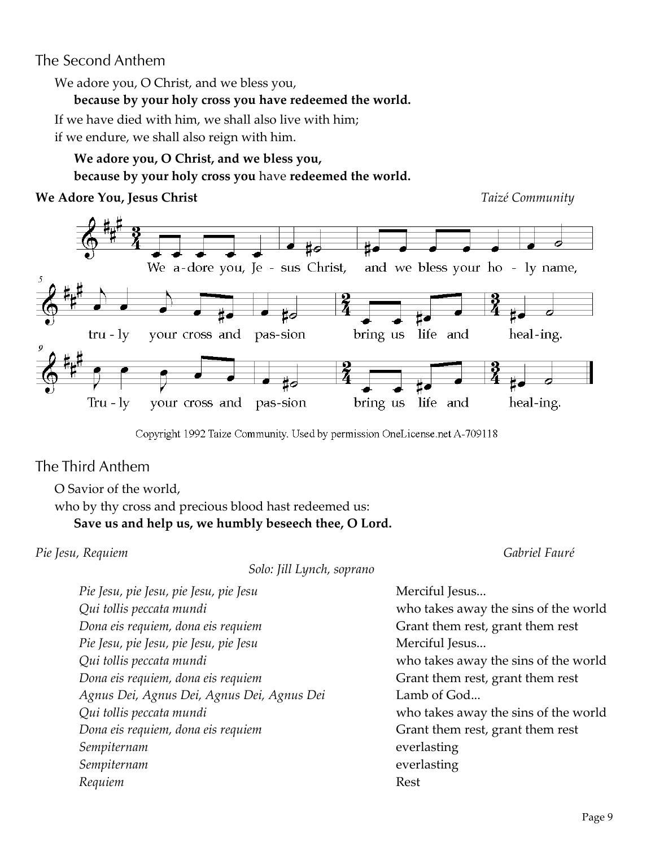# The Second Anthem

We adore you, O Christ, and we bless you,

#### **because by your holy cross you have redeemed the world.**

If we have died with him, we shall also live with him;

if we endure, we shall also reign with him.

# **We adore you, O Christ, and we bless you,**

**because by your holy cross you** have **redeemed the world.**

#### **We Adore You, Jesus Christ** *Taizé Community*



Copyright 1992 Taize Community. Used by permission OneLicense.net A-709118

# The Third Anthem

O Savior of the world,

who by thy cross and precious blood hast redeemed us: **Save us and help us, we humbly beseech thee, O Lord.**

#### *Pie Jesu, Requiem Gabriel Fauré*

*Solo: Jill Lynch, soprano*

| Pie Jesu, pie Jesu, pie Jesu, pie Jesu     | Merciful Jesus                       |
|--------------------------------------------|--------------------------------------|
| Qui tollis peccata mundi                   | who takes away the sins of the world |
| Dona eis requiem, dona eis requiem         | Grant them rest, grant them rest     |
| Pie Jesu, pie Jesu, pie Jesu, pie Jesu     | Merciful Jesus                       |
| Qui tollis peccata mundi                   | who takes away the sins of the world |
| Dona eis requiem, dona eis requiem         | Grant them rest, grant them rest     |
| Agnus Dei, Agnus Dei, Agnus Dei, Agnus Dei | Lamb of God                          |
| Qui tollis peccata mundi                   | who takes away the sins of the world |
| Dona eis requiem, dona eis requiem         | Grant them rest, grant them rest     |
| Sempiternam                                | everlasting                          |
| Sempiternam                                | everlasting                          |
| Requiem                                    | Rest                                 |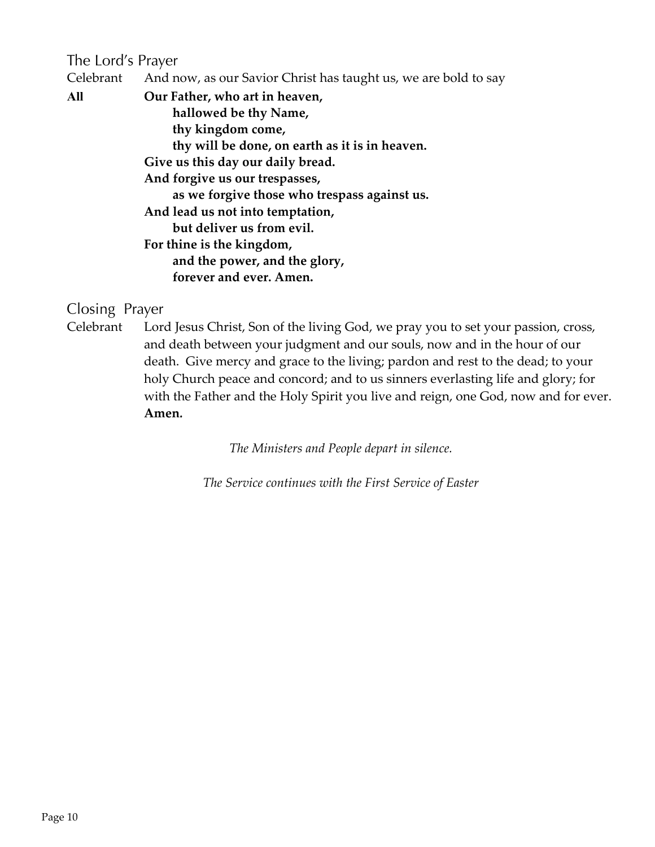# The Lord's Prayer

Celebrant And now, as our Savior Christ has taught us, we are bold to say

**All Our Father, who art in heaven, hallowed be thy Name, thy kingdom come, thy will be done, on earth as it is in heaven. Give us this day our daily bread. And forgive us our trespasses, as we forgive those who trespass against us. And lead us not into temptation, but deliver us from evil. For thine is the kingdom, and the power, and the glory, forever and ever. Amen.**

### Closing Prayer

Celebrant Lord Jesus Christ, Son of the living God, we pray you to set your passion, cross, and death between your judgment and our souls, now and in the hour of our death. Give mercy and grace to the living; pardon and rest to the dead; to your holy Church peace and concord; and to us sinners everlasting life and glory; for with the Father and the Holy Spirit you live and reign, one God, now and for ever. **Amen***.*

*The Ministers and People depart in silence.*

*The Service continues with the First Service of Easter*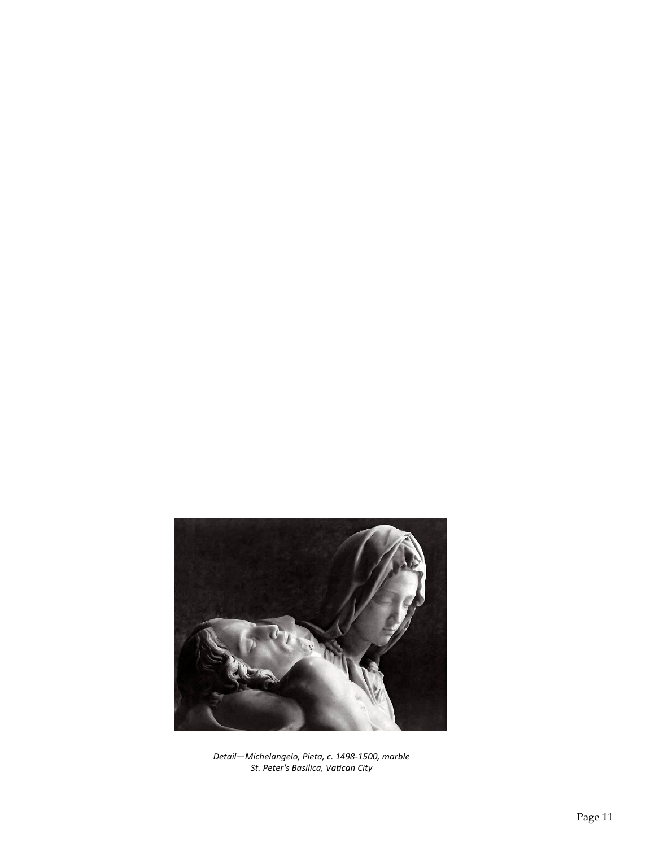

*Detail—Michelangelo, Pieta, c. 1498-1500, marble St. Peter's Basilica, Vatican City*